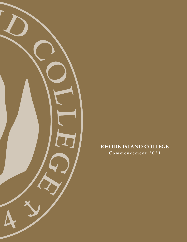

# RHODE ISLAND COLLEGE

**Comme nceme n t 202 1**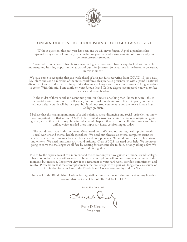

# CONGRATULATIONS TO RHODE ISLAND COLLEGE CLASS OF 2021!

Without question, this past year has been one we will never forget. A global pandemic has impacted every aspect of our daily lives, including your fall and spring semester of classes and your commencement ceremony.

As one who has dedicated his life to service in higher education, I have always looked for teachable moments and learning opportunities as part of our life's journey. So what then is the lesson to be learned in this moment?

We have come to recognize that the work ahead of us is not just recovering from COVID-19. As a new RIC alum and soon a member of the state's workforce, this year also presented us with a painful national discourse of racial and structural inequalities that are challenges for us to address now and for generations to come. With this said, I am confident your Rhode Island College degree has prepared you well to face these societal issues head-on.

In the midst of these social and economic pressures, there is one thing that I know for sure - this is a pivotal moment in time. It will shape you, but it will not define you. It will impact you, but it will not defeat you. It will burden you, but it will not stop you because you are now a Rhode Island College graduate.

I believe that this changing moment of social isolation, social distancing and social justice lets us know how important it is that we are TOGETHER--united across race, ethnicity, national origin, religion, gender, sex, ability or ideology. Imagine what would happen if we used our collective power and, in a unified voice, tackled these important issues confronting us today.

The world needs you in this moment. We all need you. We need our nurses, health professionals, social workers and mental health specialists. We need our physical scientists, computer scientists, mathematicians, accountants, business leaders and entrepreneurs. We need our educators, historians, and writers. We need musicians, artists and artisans. Class of 2021, we need your help. We are never going to solve the challenges we all face by waiting for someone else to do it, or only asking a few. We must do it together.

Fueled by the experiences of this moment and the education you have gained at Rhode Island College, I have no doubt that you will succeed. To be sure, your diploma will forever serve as a reminder of this moment, but more so, I hope you view it as a testament to your hard work, sacrifice, commitment and resolve. Please know that the accomplishments that we recognize this year will long serve as a source of inspiration for your family, the Rhode Island College community and this State.

On behalf of the Rhode Island College faculty, staff, administration and alumni, I extend my heartfelt congratulations to the Class of 2021! YOU DID IT!

Yours in education,

Prents fà

Frank D. Sánchez President

1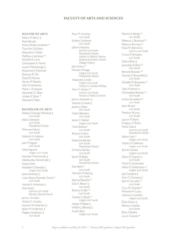# **FACULTY OF ARTS AND SCIENCES**

#### **MASTER OF ARTS**

Allison M. Barry ‡ Ruba Bouzan Alyssa Nicole Contente \* Thoa Kim DiChiara Alexandra I. Dickie Matthew J. Jamieson \* Danielle A. Lund Christopher A. Martin Lauren McDonough ‡ Roxxanne A. Newman Shannon R. Ott David R. Posman Nicole M. Sabetta Tyler D. Savastano Macie L. St Jacques Alexander C. Taber Lindsay K. Tahan \* Alexandra Tilden

## **BACHELOR OF ARTS**

Natalia V. Acarapi Mendoza ‡  *cum laude* Kaila E. Acheson  *cum laude Presidential Scholar* Shikwana Adams  *cum laude* Aderemi A. Adesina  *cum laude* Julia M. Aguire  *cum laude* David Aguirre  *magna cum laude* Folasade T. Akinmurele ‡ Olatokunbo Akintomide ‡ Fawzia Alam Alizabeth K. Almeida ‡  *magna cum laude* Javier Alvarado ‡ Luisa Lilliana Alvarado Garcia \*  *cum laude* Hannah E. Ambrosia ‡ Dina Amer  *summa cum laude Ronald J. Boruch Award* Jenna L. Amidon Yanitza C. Anariba Autumn R. Anderson ‡ Jawon M. Anderson ‡ Meghan Anderson ‡  *cum laude*

Rose M. Andriole  *cum laude* Kristina I. Anthony  *cum laude* Juliet A. Antonio  *summa cum laude Presidential Scholar Honors in Political Science General Education Honors College Honors* John Arena \* Dariana Arteaga  *magna cum laude Presidential Scholar* Alexandra S. Ashe  *magna cum laude Honors in Creative Writing* Allyn C. Ashton \*  *summa cum laude Honors in Political Science* John A. Avanesov ‡ Vanessa G. Ayala ‡ Jacenya J. Baez  *cum laude* Caitlin Bambery  *cum laude* lames C. Barber  *magna cum laude* Travis Barbour  *cum laude* Brianna A. Baro  *cum laude* Katherine Barrett  *cum laude Presidential Scholar* Christina Bartley  *cum laude* Sarah M. Belley  *cum laude Presidential Scholar* Elias Bello \*  *cum laude* Nicholas M. Berling  *cum laude* Sabrina Bessette \* Gab A. Bibemi ‡  *cum laude* Brianna N. Bier \*  *cum laude* Cassidy G. Bissitt \*  *magna cum laude* Ashley M. Blake ‡ William J. Blessing  $\ddagger$ Austin Boie  *magna cum laude*

Paloma A. Borgia \*  *cum laude* Rebecca L. Bouchard \* Rebecca Bourque \* Paula M. Brennick ‡  *summa cum laude* Francis R. Brissette  *cum laude* Debra Brito ‡ Jeannette R. Brito \*  *cum laude* Bernard Broaster \* Hannah E. Broomfield ‡  *cum laude* Danielle M. Brousseau \*  *cum laude* Tacia A. Brown ‡ Christopher Broxson \*  *cum laude* Arthur Brunelle III \*  *cum laude* Kiera Bryant  *cum laude* Matthew Brynes  *cum laude* Lauryn M. Burd Gregory D. Bushy Maria Cabral  *summa cum laude Presidential Scholar* Sekani Cain \*  *magna cum laude* Hayley R. Calderara  *magna cum laude* Kyle R. Canales  *magna cum laude* Alana M. Caputo ‡  *cum laude* Maria D. Caramadre Haley A. Carbonneau \*  *magna cum laude* Jack Cardona ‡ Amy C. Carranza ‡ Kyle A. Carvalho<sup>\*</sup>  *cum laude* Cory M. Cascella \* Michaela A. Casey Valentina Castrillon  *magna cum laude* Silvia Castro ‡ Bethany Cataldo  *cum laude* Brian Ceballos Laurie Cepeda \*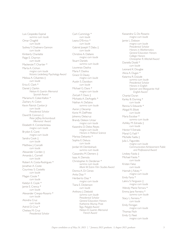Luis Cespedes Espinal  *summa cum laude* Omar Chaghlil  *cum laude* Sydney Y. Chalmers-Gannon  *cum laude* Kimberly Chanlatte Paige E. Charron  *cum laude* Mackenzie T. Chartier \* Marta A. Cichon  *magna cum laude Victoria Lederberg Psychology Award* Melissa A. Cifuentes ‡  *cum laude* Erica E. Clark \* Daniel J. Clarkin  *Nelson A. Guertin Memorial Spanish Award* Mariama K. Coker-Kallon \* Zachary A. Colon Kevin Patrick Conlon Jr  *cum laude Presidential Scholar* David B. Connors ‡  *Peter Jeffrey Archambault Memorial Award* Elizabeth K. Constantineau  *magna cum laude* Brydon E. Conti  *magna cum laude* Sandra Cook ‡  *cum laude* Matthew J. Corcelli  *cum laude* Alexander Corden ‡ Amanda L. Cornell  *cum laude* Robert A. Costa-Rodrigues \* Jonathan A. Coste Courtney S. Costello  *cum laude* Magan Coute \*  *cum laude* Katelyn E. Coyle \* Jamie E. Crenca \*  *cum laude* Alexander Crespo-Rosario \*  *cum laude* Alondra Cruz  *cum laude* Astrid D. Cruz \* Chelsea M. Cruz  *Presidential Scholar*

Carli Cummings \*  *cum laude* Leana D'Errico \*  *cum laude* Gabriel Joseph T. Dabu  $\pm$  *cum laude* Christine A. Dallaire  *magna cum laude* Stuart Daniels  *summa cum laude* Lourenzo Dasilva Maria F. Dasilva Grace O. Davey  *magna cum laude* Austin S. Davidson  *cum laude* Michael G. Davis \*  *magna cum laude* Zariyah T. Davis ‡ Michaela A. DeAngelis \* Nathan A. DeSalvo  *summa cum laude* Aaron J. Decamp Korie M. DelPrete Johenny Delacruz Brandy Deleon Urizar  *magna cum laude* Kazandra D. Delos Reyes  *magna cum laude Honors in Political Science* Marissa Delsanto \* Sophia E. Deluca  *cum laude* Jordan W. Dembishack  *summa cum laude* Cassandra M. Demers ‡ Isaac A. Demola Christopher A. Derderian \*  *summa cum laude Mark W. Estrin Film Studies Award* Donna A. Di Cenzo Anita Diaz \* Heriberto Diaz \*  *magna cum laude* Tiana E. Dickenson  *cum laude* Anthony J. Diebold  *summa cum laude Presidential Scholar General Education Honors Katherine Murray Prize Tegu Polyglot Award Nelson A. Guertin Memorial French Award*

Kassandra G. Do Rosario  *magna cum laude* Jamie L. Dobson  *magna cum laude Presidential Scholar Honors in Mathematics General Education Honors College Honors Christopher R. Mitchell Award* Daniella Dodd \*  *cum laude* Leonard K. Dougbe Alicia A. Dugan \* Katarina R. Dulude  *summa cum laude Presidential Scholar Honors in English Spencer and Marguerite Hall English Award* Chantal Duran Karley B. Durning \*  *cum laude* Rennia S. Edwards \* Abigail R. Elliott  *cum laude* Maria Escobar \*  *summa cum laude* Ashlley M. Estrada ‡  *cum laude* Hector Y. Estrada Manal G. Fadl \* Michelle Faella ‡ Julia L. Fagundes  *magna cum laude Communication Achievement Public and Professional Award* Lindsey Faiola ‡ Michael Faiola \*  *cum laude* Kristen Falso  *cum laude* Hannah J. Falvey \*  *magna cum laude* Emily Faria \* Lakira S. Ferguson ‡  *magna cum laude* Wendy Marie Ferrara \* Emma Jane Ferreira \*  *summa cum laude* Stacy L. Ferreira \*  *cum laude* Emily Finnigan  *magna cum laude* Thomas Fitch Emily G. Fleet  *magna cum laude*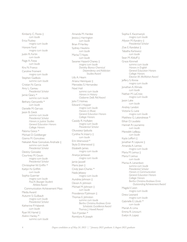Kimberly C. Flores ‡  *cum laude* Erica Fluskey  *magna cum laude* Honore Ford  *magna cum laude* Justin R. Fortin  *cum laude* Paige A. Fossa  *cum laude* Kira N. Franco Caroline Froment  *magna cum laude* Stephen Gadbois  *summa cum laude* Cristian N. Garcia Amy L. Gareau  *Presidential Scholar* Jamie Geary \*  *summa cum laude* Bethany Gencarella \*  *cum laude* Danielle M. Gervais Jason B. Gieck  *summa cum laude Presidential Scholar Honors in Justice Studies General Education Honors College Honors* Paloma Goico \* Michael D. Goldberger Gianna M. Goncalves Nekailah Rose Goncalves Andrade ‡  *summa cum laude Presidential Scholar* Destiny Gonzalez Courtney M. Gouin  *magna cum laude Presidential Scholar* Christopher W. Griffin \* Kaitlyn N. Griffith  *cum laude* Sophia Guerrier  *magna cum laude Paul A. Bourget Student Athlete Award* Communication Achievement Mass Media Award Autumn S. Guilbault  *magna cum laude Presidential Scholar* Katherine P. Haberek  *cum laude* Ryan W. Hamel ‡ Aislinn Hanley \*  *summa cum laude*

Amanda M. Hardee Jessica J. Harrington  *cum laude* Brian P. Hartley Sydney Hawkins  *cum laude* Marisa T. Hayes  *cum laude* Savaree Hazard-Chaney ‡  *magna cum laude Dorothy Bianco Chemical Dependency and Addiction Studies Award* Lilly A. Hearn Ariana Henriquez ‡ Mercedes S. Hernandez Noel Holl  *summa cum laude Honors in History Claiborne DeB. Pell Award* John T. Holmes Edward I. Hopper  *magna cum laude Honors in Music General Education Honors College Honors* Cassidy R. Huftalen  *magna cum laude Presidential Scholar* Oluwaseyi Ijaduola Cynthia N. Irizarry ‡  *cum laude* Erin Isherwood \* Skyla D. Isherwood ‡ Elizabeth James  *magna cum laude* Ananya Jantawan  *magna cum laude* Jamie Jaswell Mario Jean ‡ Cindy Jean-Charles \* Nada Jebawy  *magna cum laude* Aundrea Johnson ‡ Devon A. Johnson Michael M. Johnson ‡  *cum laude* Providence P. Johnson ‡ Thomas E. Johnston  *summa cum laude Bertha Christina Andrews Emin Scholastic Excellence Award Thomas J. Howell Award* Toni P. Jordan \* Romklyns R. Joseph

Sophia E. Kaczmarzyk  *magna cum laude* Allyson M. Kanakry ‡  *Presidential Scholar* Zoe E. Kandakai ‡ Tabatha Karlowicz  *cum laude* Sean M. Kilduff ‡ Grace Kimmell  *summa cum laude Honors in English General Education Honors College Honors Eleanor M. McMahon Award* Jeffery S. Kinnie  *magna cum laude* Jonathan A. Klimala  *cum laude* Nathan M. LaCroix  *magna cum laude* Jason Lake  *cum laude* Andrey Landon Victoria G. Lane  *magna cum laude* Matthew G. Latondresse \* Ethan D. Laudato Hannah R. Laurianno  *cum laude* Meredith LeBeau  *cum laude* Kayla Leffort ‡ Jonathan R. Lejeune ‡ Amanda A. Lemos  *magna cum laude* Maria M. Lemus ‡ Maria F. Lemus  *cum laude* Marisa A. Lenardson  *summa cum laude Presidential Scholar Honors in Communication General Education Honors College Honors Bertha Christina Andrews Emin Outstanding Achievement Award* Magda V. Leon  *magna cum laude* Drew Leonard  *magna cum laude* Gabrielle E. Libutti \*  *cum laude* Mariah A. Lima Emma R. Lincourt Evelyn A. Lopez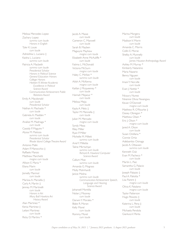Melissa Mercedes Lopez Zachary Lopez  *summa cum laude Honors in English* Tyler K. Louie  *cum laude* Adreishka L. Luciano ‡ Kaisha L. Luciano  *summa cum laude* Patricia A. Macbeth  *summa cum laude Presidential Scholar Honors in Political Science General Education Honors College Honors Herbert R. Winter Academic Excellence in Political Science Award Communication Achievement Public Relations Award* Emily A. Macdonald  *cum laude Presidential Scholar* Nathan A. Machado \*  *cum laude* Gabriela A. Madden \*  *cum laude* Analise M. Madriaga \*  *cum laude* Cassidy P. Maguire \* Alyssa M. Maitoza  *summa cum laude Presidential Scholar Rhode Island College Theatre Award* Antonio Malki Adam P. Manocchio ‡ Raffaelo Manzo Matthew Marchetti  *magna cum laude* Allison E. Maria \* Eliana Marin  *cum laude* Jismelly Marmol  *cum laude* Marissa A. Marsella ‡ Carly A. Martin ‡ Jenney M. Martinelli  *cum laude Honors in Art Mary Ball Howkins Art History Award* Alan Martinez \* Kenia Martinez ‡ Leilani Martinez  *cum laude* Ricky D. Martins \*

Jacob A. Masse  *cum laude* Cameron C. Maxwell  *cum laude* Sarah B. Mayben Magwyre Mayhew  *magna cum laude* Elizabeth Anne McAuliffe \*  *cum laude* Fatima L. McDonald Victoria McGurn  *magna cum laude* Haley C. McKee \*  *summa cum laude* Ailish A. McKenna  *magna cum laude* Kaitlan J. Mcqueeney \*  *cum laude* Hannah Mejaour \*  *cum laude* Melissa Mejia  *cum laude* Kayla A. Melo ‡ Taylor M. Mennella ‡  *cum laude* Julian M. Mercado  *magna cum laude* Syndy Meza Riley Miller Ryan P. Miller Michelle M. Millett  *summa cum laude* Ariel Y. Millette Taline Mkrtschjan  *summa cum laude Richard A. Howland Computer Science Award* Callum Moe  *summa cum laude* Amanda G. Mograss Molly Mohrhardt Janice Molina  *summa cum laude Communication Achievement Speech, Language and Hearing Science Award* Johansell Montilla Nolan |. Mooney  *cum laude* Darwin Y. Morales \* Blake R. Moran Kelly Morel  *cum laude* Rommy Morel  *cum laude*

Marina Morgera  *cum laude* Madison V. Morin  *cum laude* Amanda C. Morris Collin E. Morse Shelby A. Munnelly  *cum laude James Houston Anthropology Award* Ashley M. Murray \* Kimberly Natareno Maria Nazario Benny Nguyen  *cum laude* Imani Y. Norville  *cum laude* Evan I. Nottie \*  *cum laude* Nicaury Nunez Nnenne Olivia Nwangwu Kevan O'Donnell  *magna cum laude* Matthew R. O'Rourke ‡ Daisey Obregon \* Matthew Olsen  $*$ Eric I. Olson \*  *magna cum laude* Jared A. Olson  *cum laude* Susan Orellana \* Connie Ortiz Adebambo Osinaga Jacob A. Ottaviani  *summa cum laude* Kenneth Ouk Evan M. Pacheco \*  *cum laude* Martin L. Paiz Samantha G. Palacio  *cum laude* Joseph Palazzo ‡ Paul A. Paliotta \* Lisa Parent ‡  *magna cum laude* Olivia K. Patalano  *magna cum laude* Taylor Patterson Hugo Peixoto ‡  *cum laude* Katerina L. Pena ‡  *cum laude* Michaela Pendola Gianluca V. Penta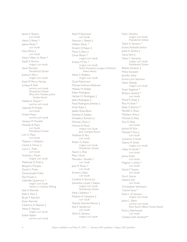James E. Pereira  *cum laude* Alexis S. Perez \* Jailene Perez \*  *cum laude* Kiara Perez ‡  *cum laude* Nancy Hillary A. Perez \* Kaylie S. Perrico  *magna cum laude* Sarah Perrotta  *Presidential Scholar* Joshua E. Perry  *magna cum laude* Kayla M. Perry-Harrop Lindsay R. Petit  *summa cum laude Presidential Scholar Mary Ann Hawkes Justice Studies Award* Debbie K. Pietsch \*  *summa cum laude* Gabriela M. Pineda  *cum laude* Kristen Pisani  *summa cum laude* Vanessa M. Piscitelli Michelle B. Place  *cum laude Presidential Scholar* Luis G. Plaza  *cum laude* Madison L. Pollastro Cecilia A. Pomar ‡ Laura C. Potts  *cum laude* Amanda L. Poulin  *magna cum laude* MaKenzie D. Pratt ‡ Benjamin Preveau Derek S. Proto Daniel Joseph Puleo Paul Pusyka ‡ Gabrielle Quattrucci \*  *magna cum laude Honors in Creative Writing* Kyle A. Rainville Kelly K. Ram ‡ Bryan F. Ramirez Karen Ramirez Casemiro D. Raposo ‡ Alexis E. Rapoza  *magna cum laude* Esther Raskin  *summa cum laude*

Kaila M. Raymond  *cum laude* Shannon L. Reedy ‡ William Remy \* Smaylin D. Reyes ‡ Maria G. Ricci ‡ Omar Rihani \*  *magna cum laude* Kristian M. Rix \*  *magna cum laude North Providence League of Women Voters Award* Alexis S. Robbins  *magna cum laude* David Robertson Michael Anthony Robinson Makeila M. Robles Eileen Rodriguez Herbert E. Rodriguez ‡ Jadira Rodriguez ‡ Paula Rodriguez Jimenez ‡ Andy Rojas ‡ Jaileen Rojas-Beco Neishka A. Roldan Aristides J. Romero ‡ Michael I. Rosa ± Victoria N. Rose  *magna cum laude Jean Garrigue Award* Matthew R. Roy  *cum laude* Ruben G. Rubio  *magna cum laude Presidential Scholar* Naomi L. Ruiz Riley J. Runk Marcella L. Russillo \*  *cum laude* Julia M. Russo \*  *cum laude* Simeon J. Sabo  *cum laude* Caroline A. Saccoccio Samantha Louise T. Saldua  *magna cum laude Presidential Scholar* Katie J. Salisbury \* Madison R. Salvatore ‡  *cum laude* Yolanda Sanchez-Ramos ‡ Kyle E. Sanderson  *cum laude* Devin E. Santana  *magna cum laude*

Fady J. Santana  *magna cum laude Presidential Scholar* Taylor A. Santoro \* Evania Andrade Santos Jayde A. Santos ‡ Ivania Sarit ‡ Taylor L. Sarnecky  *magna cum laude Presidential Scholar* Babyka Saroeun ‡ Maria Scavassin Jennifer Schar Emma Lynn Seamans Adam Sebzda  *magna cum laude* Susan Segatore \* Brittany Senecal \*  *cum laude* Marie R. Sesay ‡ Rina N. Shah \* Slade S. Sharma \* Randall G. Shaw Matthew Shea ‡ Michael D. Shea Paul D. Shea  *cum laude* Joshua W. Silva Michael T. Silva ±  *cum laude* Cameron S. Small Deena M. Smith  *magna cum laude* Hailey N. Smith \*  *cum laude* James Smith  *cum laude* Meghan L. Smith \*  *cum laude* Savion T. Soares  *cum laude* Gia A. Soccio Veatsna Sok  *cum laude* Christopher Solorzano Yvonne Sosa \* Kacie L. St Sauveur  *magna cum laude* Jaclyn L. Steen  *summa cum laude Yetta Rauch Melcer Dance Award* Kevin J. Steinhauser  *cum laude* Chelsea Faith Strothoff \*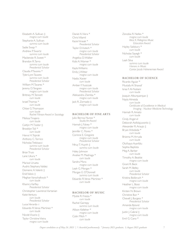Elizabeth A. Sullivan ‡  *magna cum laude* Stephanie A. Sullivan  *summa cum laude* Sadie Swap \* Andrew P. Swartz  *summa cum laude* Mackenzie R. Sweet \* Brandon R. Tarro  *summa cum laude Presidential Scholar* Claudia P. Tavares \* Tyler-Lynn Tavares  *summa cum laude Presidential Scholar* William M. Tavares \* Jeremy D. Tengren  *magna cum laude* Brittney M. Tennett  *cum laude* Israel Thomas \*  *cum laude* Chloe G. Thomason  *cum laude Rachel Filinson Award in Sociology* Melissa Tinajero  *cum laude* Caitlyn M. Tiodor ‡ Brooklyn Toli \*  *cum laude* Havva H. Toprak Anthony C. Torrico Nicholas Trebisacci  *summa cum laude Presidential Scholar* Brian Truss Lane Ukura \*  *cum laude* Marisol Urueta Audris Stephany Valdez Domenic A. Valenti ‡ Enid Valois ‡ Meghan Vanschalkwyk \*  *cum laude* Khamry Varfley  *Presidential Scholar* Christopher Lawrence Vartanian Katie Ventura  *cum laude Presidential Scholar* Lucas Verardo † Eduardo R. Veras Martinez \*  *cum laude* Nicole Vicario ‡ Taylor Christine Vieira  *magna cum laude*

Daniel A. Viera \* Chris Villamil Kacie Virasak \*  *Presidential Scholar* Taylor D. Vutech \*  *magna cum laude Presidential Scholar* Angelica D. Walker Kobi A. Warner \*  *magna cum laude* Kayla Williams Emily J. Witter  *magna cum laude* Nadia Xavier  *cum laude* Amber F. Yuszczak  *magna cum laude Presidential Scholar* Aleksandra Ziemba \*  *magna cum laude* Jack R. Zornado ‡  *magna cum laude*

## **BACHELOR OF FINE ARTS**

Julio Berroa Nunez \*  *Studio Art Award* Hannah J. Falvey \*  *magna cum laude* Jennifer C. Flores \* Corinne E. Gregoire  *magna cum laude Presidential Scholar* Nhuy T. Huynh ‡  *summa cum laude* Haley Johnson Analise M. Madriaga \*  *cum laude* Sandra Mora  *magna cum laude* Leah G. Morgan \* Morgan E. O'Donnell  *summa cum laude* Eduardo R. Veras Martinez \*  *cum laude*

## **BACHELOR OF MUSIC**

Mystie R. Frezza \*  *cum laude* Rachel Garrepy  *summa cum laude* Allison Kelleher \*  *magna cum laude* Colin Milch \*  *cum laude*

Zenobia R. Nelles \*  *magna cum laude Alice K. Pellegrino Music Education Award* Hayley Salisbury \*  *cum laude* Nicholas Sayegh \*  *cum laude* Leah Silva  *summa cum laude Honors in Music Cantor Jacob Hohenemser Award*

#### **BACHELOR OF SCIENCE**

Ricardo Aguiar \* Mustafa Al Shawaf Israa F. Al-Nubani  *cum laude* Joaquin Alburquerque ‡ Nayla Almeida  *cum laude Certificate of Excellence in Medical Imaging - Nuclear Medicine Technology* Hannah R. Amato  *cum laude* Cindy Angervil Deborah Aofolajuwonlo ‡ Alexander R. Araujo ‡ Bryan Arboleda \*  *cum laude* Brianna M. Arruda  *cum laude* Olufisayo Ayanfalu Sophia Baptista Meg A. Barker  *cum laude* Timothy A. Beattie  *magna cum laude* Grant R. Beck Sarah M. Belley  *cum laude Presidential Scholar* Kristina Bolibruch \*  *magna cum laude* Heather L. Bossi  *magna cum laude* Kirsten N. Brown Christine Bun \* Chevell J. Burgess \*  *Presidential Scholar* Amanda Bylund  *magna cum laude* Justin J. Cabral ‡  *magna cum laude* Emil G. Cano \*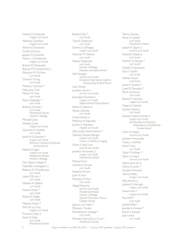Genesis V. Castaneda  *magna cum laude* Valentina Castrillon  *magna cum laude* Amina K. Chamanlal Cynthia Charron Jayleen N. Chinchilla Adrian L. Chmielewski  *magna cum laude* Brianna R. Choquette Shanda M. Christal-Scott ‡ Madyson M. Christian  *cum laude* Chanel V. Chung  *cum laude* Matthew Cicerone<sup>\*</sup> Haley Jane Cole Melissa M. Cole  *cum laude* Kacie Coppinger \*  *cum laude* Brittney Correia ‡  *cum laude Presidential Scholar Honors in Biology* Michael Costa Vanessa Costa  *magna cum laude* Courtney S. Costello  *cum laude* Jamie M. Coulombe \*  *magna cum laude Richard A. Howland Computer Science Award* Melanie Cragan  *magna cum laude Presidential Scholar Honors in Biology* Don Royce Creppin ‡ Gabrielle Cunningham ‡ Rebecca R. D'Ambruoso  *cum laude* Leana D'Errico \*  *cum laude* Marlene A. DaSilva  *cum laude* Nnasire Dabo \*  *cum laude* Kalasia R. Daigle  *cum laude* Natasha Darko \* Ada De La Cruz  *magna cum laude* Frances E. Deju ‡ Sarah S. Diallo  *cum laude Presidential Scholar*

Barbara Dias \*  *cum laude* Tiana E. Dickenson  *cum laude* Domino S. Difilippo  *magna cum laude* Savannah M. Dionne  *cum laude* Zakiyat Djabakatie  *cum laude Honors in Biology Theodore Lemeshka Award* Neil Douglas  *summa cum laude Computer Information Systems Outstanding Student Award* Leah Drolet Jonathan Duran \*  *summa cum laude* Jacqueline Escolastico  *magna cum laude Departmental Physics Award* Stefani A. Espinal ‡ Alexia I. Estrada  *cum laude* Cindy Estrada ‡ McKenna R. Fagundes Jocelyn E. Falardeau  *magna cum laude* Oloruntobi David Fashemi \* Gabriela Feliciano Burgos  *magna cum laude Honors in Medical Imaging* Oliver E. Feliz Lima  *summa cum laude* Jonathan Fernandez ‡  *magna cum laude Presidential Scholar* Michael Ferra Victoria A. Ferrara  *cum laude* Natasha Ferreira Justin R. Ferri Montana M. Ferri  *cum laude* Abigail Fleurima  *summa cum laude Presidential Scholar Honors in Biology General Education Honors College Honors* Jackson Levi Foley \* Michaela I. Fontes Mamethierno Gadiaga \*  *cum laude* Marisela Garcia-De La Cruz \*  *Presidential Scholar*

Teema Garpue Maria H. Gaskell  *cum laude Presidential Scholar* Joseph R. Gaulin ‡  *summa cum laude* Deborah Gbaba ‡  *cum laude* Madison E. George \*  *cum laude* Gisselle F. Germosen Sara E. Giolitti  *cum laude* Nathan Girard  *cum laude* Jenna A. Giuttari \* Lyset M. Gonzalez \* Ella A. Guimond  *cum laude* Rachel A. Harrison  *magna cum laude* Megan E. Hatcher Sydney Hawkins  *cum laude* Savaree Hazard-Chaney ‡  *magna cum laude Dorothy Bianco Chemical Dependency and Addiction Studies Award* Cailin R. Healey  *summa cum laude* Jazmeen Hernandez Tracey L. Holmes Ethan T. Hoy  *cum laude* Taylor P. Huftalen \* Devin J. Irving ‡  *summa cum laude* Adama Jammeh ‡ Danny G. Junior \* Sa-Leem Kamarah Tammy Kelley  *magna cum laude* Riley Kernan ‡ Julianna M. Kerrigan  *magna cum laude* Sovann Khiv \*  *magna cum laude* Paul Koffi \*  *cum laude* Justine Kollie \* Jennifer A. Kosteer \* Kerrin E. Kubacki Julia I. Kuhn  *cum laude*

8 *Degree candidates as of May 24, 2021 | \* January 2021 graduate,* ‡ *August 2021 graduate*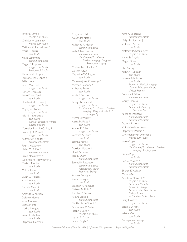Taylor B. LaVoie  *magna cum laude* Christian A. Lampinski  *magna cum laude* Matthew G. Latondresse \* Maria F. Lemus  *cum laude* Kevin Lethbridge  *summa cum laude* Megan E. Lipponen  *magna cum laude Presidential Scholar* Theodora D. Logan ‡ Fantashia-Tene Lopes ‡ Edilyn Lopez Karen Mandeville  *magna cum laude* Robert J. Marsella Jhane Kiana Martin  *cum laude* Humberto Martinez ‡  *magna cum laude* Magwyre Mayhew  *magna cum laude* Julia N. McAdams ‡  *cum laude General Education Honors College Honors* Cornelius Born McCaffrey \* Lauren J. McDonald  *magna cum laude* Kaitlyn A. McFadden \*  *Presidential Scholar* Ryan J. McGovern Haley C. McKee \*  *summa cum laude* Sarah McQuesten \* Caitlynne M. McSweeney ‡ Mariana Medina  *cum laude* Melissa Mejia  *cum laude* Dylan C. Mendes Karoline Metry  *cum laude* Rachele Meucci  *cum laude* Amanda G. Michon Delaney Moore Kayla Morales Briana Morel Marina Morgera  *cum laude* Jessica Mulholland  *cum laude* Stephanie Naismith

Cheyanne Nalle Alexandra Natale  *cum laude* Katherine A. Nelson  *summa cum laude* Kelly A. Normandin  *summa cum laude Certificate of Excellence in Medical Imaging - Magnetic Resonance Imaging* Christopher Northup \* Clarisse Ntwali Catherine T. O'Regan  *cum laude* Omosiwajuola Olasanoye \* Michaela Peabody \* Katherine Perez  *cum laude* Kaylie S. Perrico  *magna cum laude* Kaleigh B. Pimental  *magna cum laude Certificate of Excellence in Medical Imaging - Diagnostic Medical Sonography* Michal J. Pisarek \* Alyssa M. Place \*  *cum laude* Amber E. Polak  *magna cum laude* Veronica A. Ponte  *cum laude* Sabrina Portes  *cum laude* Derrick I. Powers \* Derek S. Proto Tara L. Quinn  *summa cum laude* Samuel R. Restrepo  *summa cum laude Presidential Scholar Honors in Biology* Andrea Rodrigues Cindy Rodriguez  *cum laude* Brandon A. Romauld Nakeira N. Ruiz \* Caroline A. Saccoccio Nimra Saeed ‡  *summa cum laude* Nazilla Nickie Sciotti \* Adesubomi M. Shitu Joseph Silveira \*  *magna cum laude* Layken M. Simas Simran Singh \*

Kayla A. Soberanis  *Presidential Scholar* Maliya M. Souksay ‡ Victoria E. Sousa  *cum laude* Matthew M. Spaulding \*  *magna cum laude* Alexa St. Angelo Megan St. Jean  *cum laude* Elvis Sucuqui Kathryn N. Sutton  *cum laude* Jasmine Sylaphone  *cum laude Honors in Medical Imaging General Education Honors College Honors* Brendan A. Tellier  *summa cum laude* Corey Thomas  *magna cum laude American Institute of Chemists Award* Nicholas Trebisacci  *summa cum laude Presidential Scholar* Dean A. Uzzo \* Victoria Vadeboncoeur Stephany M. Vallejo \* Christopher Van Wormer ‡  *magna cum laude* Jamie Vargas  *magna cum laude Certificate of Excellence in Medical Imaging - Radiography* Bianca Vega  *cum laude* Raquel M. Villot \*  *summa cum laude Presidential Scholar* Sharon K. Wallack Omar Welaih Anastasia M. Welch \*  *magna cum laude Presidential Scholar Honors in Biology General Education Honors College Honors W. Christina Carlson Award* Emily J. Witter  *magna cum laude* Sarah E. Wright  *cum laude* Juliette Xiong  *cum laude* Alexagianna Zuluaga  *cum laude*

*Degree candidates as of May 24, 2021 | \* January 2021 graduate,* ‡ *August 2021 graduate*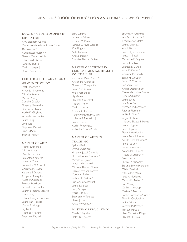# **FEINSTEIN SCHOOL OF EDUCATION AND HUMAN DEVELOPMENT**

# **DOCTOR OF PHILOSOPHY IN EDUCATION**

Amy Elizabeth Correia Catherine Marie Hawthorne Kocak Xiaoyan Hu \* Abdelnasser Hussein \* Shawna Catherine Iula John David Olerio Caroline Stabile David I. Upegui ‡ Derece Vanterpool

# **CERTIFICATE OF ADVANCED**

#### **GRADUATE STUDY**

Matt Albertsen \* Amanda M. Almonte Michelle Amore Michael Ashby ‡ Danielle Caddick Gregory Deangelus Deirdre A. Dwyer Aprile D. Giugliano Amanda Lee Hunter Laura Long Lily Nieto Stephanie Pagliarini Erika L. Paiva Seongah Park \*

## **MASTER OF ARTS**

Michelle Amore ‡ Michael Ashby ‡ Danielle Caddick Samantha Camardo Jimson Jr Chua Alexandra M. Connell Christina M. Costa Katarina E. Darosa Gregory Deangelus Kailee M. Garibaldi Essence Harrison Amanda Lee Hunter Lauren Elizabeth Kelley ‡ Laura Long Johnna Katelyn Lourenco Laura Jean Merolla Carina A. Monge Lily Nieto Nicholas P. Pagano Stephanie Pagliarini

Erika L. Paiva Jacquelyn Palmer Jordann M. Plante Jasmine G. Rivas Corado Zoe Rogers ‡ Natasha Salas Angela Stanley Danielle Elizabeth White

## **MASTER OF SCIENCE IN CLINICAL MENTAL HEALTH COUNSELING**

Cassondra Maria Arena \* Alexandra R. Broccoli Gregory P. Charpentier ‡ Susan Ann Curria Kyle J. Fernandes Lily Granai Elizabeth Greenleaf Michael T. Kerr David J. Lizotte Chelsea C. Martini Matthew Patrick McGuire La Tanya R. Monteiro ‡ Sarah E. Panicci Adrian Pendergast Katherine Rose Woods

#### **MASTER OF ARTS IN TEACHING**

Sydney Beck Wendy A. Berard Kimberly lewel Conterio Elizabeth Anne Fontaine \* Michela C. Lyman James J. Malachowski Michaela Therien Nunes Jessica Ordonez-Barrera Corey M. Parker \* Kathryn E. Payton \* Erin Christine Rabbitt Laura B. Santos Emily Sprague Maria S. Takacs Stephanie A. Taktikos Shayla | Tuorto Alyssa W. Wojdag \*

## **MASTER OF EDUCATION** Ckarla E. Agudelo Helen B. Aguiar \*

Ebunola A. Akinrimisi Jennifer L. Andrade \* Timothy A. Audette Laura A. Barlow Ana L. Barros Kristen Lynn Beatson James M. Bucci Catherine E. Bugbee Brittni Cambio Lucretia E. Cardin Kayla C. Caron \* Christina M. Cipolla Sarah M. Cloutier Susan M. Connole Benjamin Davis Alysha Decrescenzo Denise Geraldine Duarte Renee A. Duffaut Laura Etkind lane N. A Eze Michaela M. Ferreira \* Rebeca Filomeno Jenifer L. Goes \* Jaclyn M. Hahn Michaela Elizabeth Hayes Lauren Higgins Katie Hopkins ‡ Tracy R. Howland \* Laura Anne Johnson Noelle Rose Johnson \* Jenna Kaplan \* Rebecca Knudsen Alexandra L. Krause Nicole J. Kucharski \* Brent Legault Shelby D. Mahoney Stefanie Lynne Marchetti Olivia Marshall ‡ Melissa McDonald lared A. Medeiros Carissa E. Meehan \* Erin Murray Caitlin |. Northup Marissa B. Nurdin ‡ Sophie Lorraine O'Brien ‡ Torie M. Okolowitcz Indira Patnaik Vanessa M. Percoco Trinidad Perez ‡ Elyse Catharine Pfleger ‡ Elizabeth L. Pires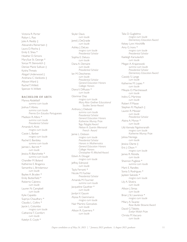Victoria R. Porter Robyn L. Rao Julie A. Reddy ‡ Alexandra Reinertsen ‡ Laura D. Rocha ‡ Emily E. Shea \* Heather D. Simons MarySue St. George \* Sonya M. Stenovitch ‡ Denise Marie Sullivan ‡ Kyisha Threats Abigail Underwood ‡ Andriana C. Vanikiotis ‡ Allyson Ward ‡ Rachel T. Willett Spencer A. Willett

## **BACHELOR OF ARTS**

Marwa Abdellatif  *summa cum laude* Joshua F. Abreu  *summa cum laude Premio Em Estudos Portugueses* Madison R. Albro \*  *summa cum laude Presidential Scholar* Amanda K. Alviti  *magna cum laude* Cassie L. Barber  *magna cum laude* Rachel E. Bardsley  *summa cum laude* Jaimee L. Barrett \*  *cum laude* Jessica R. Blanchette \*  *summa cum laude* Chandler M. Boland Katherine E. Braganca Samantha L. Brindamour  *cum laude* Baylee A. Bryden \* Emily Butterfield \* Roberto Cabrera  *cum laude* Lauren N. Campbell  *cum laude* Kylie Capaldo Supriya Chaudhary \* Claudia L. Collins \* Jaycie L. Columbo  *magna cum laude* Catherine T. Comfort  *cum laude* Katelyn E. Coyle \*

Skyler Davis  *cum laude* Jared J. DeGraide  *cum laude* Ashley J. DeLeo  *magna cum laude Presidential Scholar* Sophia E. Deluca  *cum laude* Dana A. Demaire  *cum laude Presidential Scholar* Ian M. Deschenes  *cum laude Presidential Scholar General Education Honors College Honors* Diana V. DiRuzzo \*  *cum laude* Glorimar Diaz  *magna cum laude Mary Alice Grellner Educational Studies Senior Award* Anthony J. Diebold  *summa cum laude Presidential Scholar General Education Honors Katherine Murray Prize Tegu Polyglot Award Nelson A. Guertin Memorial French Award* Jamie L. Dobson  *magna cum laude Presidential Scholar Honors in Mathematics General Education Honors College Honors Christopher R. Mitchell Award* Edwin A. Dougal  *magna cum laude* Jeffrey Edmond  *cum laude* Tayla Ferranti \* Nicole M. Fochler  *Presidential Scholar* Amanda M. Fournier  *summa cum laude* Jacqueline Gauthier \*  *cum laude* Jordyn V. Gauvin Alyssa R. Giammarco  *magna cum laude* Nair Martins Goncalves  *cum laude* Allison R. Guerrera \*  *cum laude*

Talia D. Guglielmo  *magna cum laude Elementary Education Award* Kelsey Lynn Hinchliffe Amy G. Irons \*  *magna cum laude Presidential Scholar* Kaeleigh Karsulavitch  *cum laude* Megan A. Krajanowski  *summa cum laude Presidential Scholar Elementary Education Award* Cassidy S. Lange  *cum laude* Katherine M. Lopes \*  *cum laude* Mikayla O. Marchessault  *cum laude* Indira G. Martinez  *cum laude* Robert P. Masse Stephen R. Maybach ‡ Lauren R. Messier  *cum laude Presidential Scholar* Alaina A. Moran \*  *cum laude* Lilly Vannala Ngolvorarath  *magna cum laude Katherine Murray Prize* Julissa Noriega  *cum laude* Jessica Olarte ‡ Eric J. Olson \*  *magna cum laude* James R. Petrella  *cum laude* Shannon Pugliese \*  *summa cum laude* Mark E. Randles Sonia S. Rodrigues \* Jayleen Salcedo \*  *magna cum laude* Lily A. Silveira  *cum laude* Allison J. Simas  *cum laude* Brian J. St. Lawrence \*  *magna cum laude* Milary A. Tavarez  *Rose Butler Browne Award* David G. Tibbitts  *Evelyn Walsh Prize* Christa M. Vaccaro  *cum laude*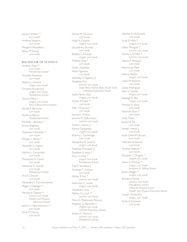Julyssa J. Walker \*  *cum laude* Andreya Watkins  *cum laude* Meaghan Woodbury Bailey M. Young  *cum laude*

## **BACHELOR OF SCIENCE**

Andrew Albro \*  *cum laude Presidential Scholar* Amadaly Almanzar  *cum laude* Rebecca | Amaral  *magna cum laude* Christina Armstrong  *magna cum laude Presidential Scholar* Ayana V. Bass \*  *magna cum laude Elisa F. Bonaventura Award* Nicole E. Bertrand  *cum laude* Ruben A. Blanco  *Presidential Scholar* Michelle L. Brayboy \* Emma Brighton  *cum laude* Mckenzie T. Brissette \*  *cum laude* Morgan L. Burke \*  *cum laude* Meredith C. Cabral  *cum laude* Sabrina L. Caracciolo  *cum laude* Mackenzie M. Caron  *cum laude* Katherine A. Carrillo  *cum laude Presidential Scholar* Ana K. Chacon  *cum laude* Alexandra L. Courtemanche Megan J. Dellinger \*  *cum laude* Michael A. Depina \*  *summa cum laude Health and Physical Education Award* Jessica L. Detonnancourt \*  *cum laude* Emily M. Devita  *cum laude*

Nicole M. DiCenzo  *cum laude* Haley A. Duphily  *magna cum laude* Jacqueline J. Durand  *cum laude* Bradley L. Erickson  *magna cum laude* Michael Faria \*  *cum laude* Farah I. Figuereo Alyah Figueroa  *cum laude* Wennely S. Figueroa ‡ Madeline Fish  *summa cum laude Sister Mary Francis Ryan, R.S.M. Early Childhood Education Award* Leslie Flores Diaz  *magna cum laude* Ashley P. Foster \*  *cum laude* Kelly T. Francisco \*  *cum laude* Samuel L. Franco Jasmine M. Gallo-Fusco  *summa cum laude* Zachary Garcia ‡ Karissa Garganese  *magna cum laude* Brianna L. Goodridge  *cum laude* Alexandra M. Guertin  *magna cum laude* Matthew P. Hopper  $\ddagger$ Elizabeth A. Hoyt \* Amy G. Irons \*  *magna cum laude Presidential Scholar* Zoe E. Kandakai ‡ Amanda C. Kolesar  *cum laude* Abbey R. Kut \*  *summa cum laude* Katharine C. Lavoie  *magna cum laude* Alexandra Lima Melissa D. Lynch \*  *summa cum laude* Mery K. Maldonado Polanco Madison G. Marcotte \*  *magna cum laude General Education Honors* Katelyn E. Martino  *summa cum laude Presidential Scholar*

Deirdre K. McDonald  *cum laude* Scott P. Mello \*  *magna cum laude* Delmi Munguia \*  *summa cum laude* Nicole L. O'Neill \*  *summa cum laude* Alexia A. Peloquin  *cum laude* Kianna Lee Petit  *cum laude* Nancia Poteau  *magna cum laude* Leslie M. Ramirez  *cum laude* Daiely Rodriguez Kerin E. Santillo  *magna cum laude* Kayleigh E. Silva  *magna cum laude* Marissa N. Silvia  *cum laude* Amanda Sloan \*  *cum laude* Emily Tilano Jessica B. Toc  *cum laude* Joseph Usenia ‡  *cum laude* Emily Dolores Vaccaro  *cum laude* Gabriella R. Valente  *cum laude* Andrew Vallante \*  *cum laude* Elizabeth C. Wagner \*  *magna cum laude* Alexa A. Whittier \*  *magna cum laude Josephine A. Stillings Award* Jessica Wiggin \*  *magna cum laude* Brooke E. Young  *summa cum laude Presidential Scholar Helen M. Murphy Award Health and Physical Education Award* Lauren Zanfardino  *magna cum laude* Emily A. Zanzarov  *cum laude*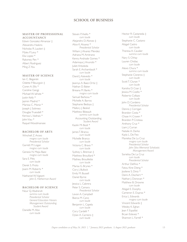# **SCHOOL OF BUSINESS**

## **MASTER OF PROFESSIONAL ACCOUNTANCY**

Edwin Gonzalez Almanzar ‡ Alexandra Haskins Nicholas R. Lautieri ‡ Myles P. Levy \* Elia Lopez \* Raksmey Pen \* Albert Rodriguez Ming Z. You

#### **MASTER OF SCIENCE**

Ian C. Beganski Odette P. Bourgoin ‡ Coren A. Ellis \* Caroline Gangji Michael W. lafrate \* Justin Kelly \* Jazmin Madrid \* Marissa C. Moniz \* Joseph J. Solimeo Douglas Truesdell \* Kerissa L. Vadnais \* John Viau \* Raquel Woodmansee

#### **BACHELOR OF ARTS**

Winchell Z. Arceo  *magna cum laude Presidential Scholar* Garrett M. Logan  *magna cum laude* Genesis N. Mejia Baez  *magna cum laude* Sara E. Pitts  *cum laude* Derek S. Proto Joann M. Roberts \*  *cum laude* Nathaniel W. Vigeant  *John E. Hetherman Award*

#### **BACHELOR OF SCIENCE**

Nour Q. Abaherah  *summa cum laude Presidential Scholar General Education Honors Management Outstanding Student Award* Danielle M. Absi  *cum laude*

Steven P. Aiello<sup>\*</sup>  *cum laude* Alejandro D. Alonzo ‡ Alice K. Alvarez \*  *Presidential Scholar* Wiliam I. Alvarez Mendez Adriana M. Amitrano Kenny Andrade Gomes \* Adannaya | Anunobi \* Juliet Arboleda Sarah E. Archambault \*  *cum laude* David I. Azevedo \*  *cum laude* Jeannys A. Baez-Ortiz ‡ Nathan D. Baker Brieana M. Banks \*  *magna cum laude* Samuel Barbosa \* Michelle A. Barros Stephanie Bedoya ‡ Mallory J. Beskid Matthew Bibeault  *summa cum laude* Accounting Outstanding *Student Award* Kaolin Mi Bodi \*  *cum laude* James T. Branca  *cum laude* Michelle Branco  *cum laude* Victoria C. Bravo \*  *cum laude* Sydney L. Brennan ‡ Matthew Brouillard \* Mathieu Brouillette  *cum laude* Marisa G. Brynes \* Cory J. Bullock Emily M. Bussell Daniel Byrne  *cum laude* Jessica L. Cabrera Peter S. Camara  *Presidential Scholar* Levon A. Campbell Bianca M. Cano  *cum laude* Benjamin L. Capela  *cum laude* Cory Cardelli \* Dylan A. Carreiro ‡  *cum laude*

Hector R. Castaneda ‡  *cum laude* Stephanie C. Castano Abigail Castro  *cum laude* Theresa A. Cavalier  *summa cum laude* Nary S. Chhay Lauren Chidiac  *cum laude* Alexis Chura \*  *summa cum laude* Stephanie Cisneros ‡  *cum laude* Scott T. Clunan \*  *cum laude* Kanisha D. Coar ‡ Jessica M. Coello \* Roberto Collazo  *cum laude* John D. Cordeiro  *Presidential Scholar* Dennis J. Corrigan Brandon Costa \* Chase H. Craven \* Brandon P. Croteau Anthony Cruz \* Liam | Curran Natalie A. Darko Kayla L. De Feo Marielisa De La Cruz  *magna cum laude Presidential Scholar John Silva Memorial Scholastic Management Award* Sorielisa De La Cruz  *cum laude Presidential Scholar* Arthur Delfino \* Fatou Kine Dieng \* Josilene S. Diniz \* Demi A. Dischert \* Nathan I. Donovan \* Matthew B. Drowne  *cum laude* Abigail E. Dunphy Cameron E. Dupras \* Erica L. Edwards  *magna cum laude* Vincent Edwards ‡ Wesley K. Eghan Jean F. Espaillat Bryan Estevez \* Shannon L. Farrell \*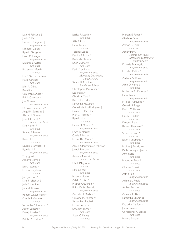Juan M. Feliciano ‡ Justin R. Ferri Carissa R. Gaglione ‡  *magna cum laude* Kimberly Gaitan Ryan L. Galagarza Falilat M. Ganiyu  *magna cum laude* Dialenia S. Garcia  *cum laude* Richardson Garcia  *cum laude* Ilsa E. Garcia Martinez Haille Getchell  *cum laude* John A. Gibau Ben Girard Cameron D. Glad \* Erik S. Glowacki \* Joel Gomez  *magna cum laude* Octavian Goncalves \* Angel R. Gonzalez ‡ Alycia M. Greaves Joseph E. Groff \*  *summa cum laude* Kyle Holton \*  *cum laude* Sydney E. Homan  *magna cum laude* Rasni Hul  *cum laude* Lauren E. Iannuccilli ‡ Ryan Iezzi \*  *magna cum laude* Troy Ignacio ‡ Ashley N. Iovino  *cum laude* Jenna Jacques \* Momodou Jallow  *cum laude* Jane Johnson \* Kyle P. Kelaghan ‡ Jada Kham-Sous James F. Kozusko  *magna cum laude* Robert L. Labossiere \* Camille Laflamme  *cum laude* Samantha A. Laliberte \* Aaron Landau \* Katie I. Lavallee \*  *magna cum laude* Katelyn A. Leclerc \*

Jessica R. Leech \*  *cum laude* Allia B. Lima Laura Lopes  *cum laude* Taisabel Lopez Kendra E. Maille \* Kimberly Maisonet ‡ Kevin W. Martin  *cum laude* Kevin Martineau  *magna cum laude Marketing Outstanding Student Award* Selena G. Martinez  *Presidential Scholar* Christopher Marulanda ‡ Lisa Massa \* Claudia Y. Mata \* Kylie E. McCallum Samantha McCarthy Gerald Medina-Rodriguez ‡ Camren L. Menefee Max O. Merlino \* Ryan Mollo  *cum laude* Helen M. Morales \*  *magna cum laude* Leysa R. Morales Cassie E. Moran ‡ Nicole Rae Morin \*  *magna cum laude* Akilah K. Muhammad Atkinson Joseph Murphy  *magna cum laude* Amanda Musket ‡  *summa cum laude* Oanh P. Nguyen  *cum laude* Sara E. Noel  *cum laude* Nicaury Nunez Achile A. Ojih \* Ricardo Oquendo \* Rhina Ortiz Mercado  *magna cum laude* Aneudy M. Ovalles \* Caroline M. Paliotte ‡ Samantha J. Paolissi Leonardo Parra Sebastian Parra \*  *cum laude* Susan C. Paskey  *cum laude*

Morgan E. Patras \* Giselle A. Pena  *magna cum laude* Ashton R. Perez  *cum laude* Ashley Perry  *summa cum laude Accounting Outstanding Student Award* Danielle Petrangelo  *magna cum laude* Madelyn Phillips \*  *magna cum laude* Zachary N. Pierce  *magna cum laude* Allen D. Pierre ‡  *cum laude* Nathanael M. Pimental \* Laura Polanco  *magna cum laude* Nikolas M. Poulios \* Genesis R. Pulgar Kaylee M. Raposo  *cum laude* Hailey T. Raskob  *cum laude* Devon J. Read Richard Regniere \*  *cum laude* Shania Renaud \*  *cum laude* Joann M. Roberts \*  *cum laude* Michael J. Rodriguez Paula Rodriguez | imenez ‡ Amy Rojas  *cum laude* Mikaela A. Rosa \*  *cum laude* Channel Rosario  *cum laude* Astrid Ruiz  *magna cum laude* Arianna L. Ruolo  *magna cum laude* Amber Ruscher  *cum laude* Amanda C. Ryan Samantha I. Sanchez  *magna cum laude* Katharine Sanford \* Jenny Santana Christopher A. Santos  *cum laude* Brianna Saucier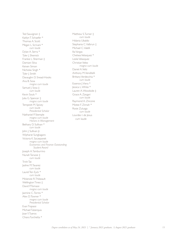Ted Sauvignon ‡ Kaitlyn T. Schaefer \* Thomas A. Scott Megan L. Scrivani \*  *cum laude* Dylan A. Serra \* Tyler J. Shemick Frankie L. Sherman ‡ Damiani Silva Keiven Simon Nicholas Singh \* Tyler J. Smith Davaughn D. Snead-Hooks Ana B. Sosa  *magna cum laude* Samuel J. Sosa  $\pm$  *cum laude* Kevin Souls \* Julia G. Spencer ‡  *magna cum laude* Tempestt M. Spivey  *cum laude Presidential Scholar* Nathaniel P. Stemple  *magna cum laude Honors in Management* Bethany D. Sullivan \*  *cum laude* John J. Sullivan Jr. Wipharat Sungkagaro Victoria K. Szczepanek  *magna cum laude Economics and Finance Outstanding Student Award* Joseph A. Tamburrino Nunah Tarwoe ‡  *cum laude* Trinh Tat Jasline M. Tavarez  *cum laude* Laurel Ten Eyck \*  *cum laude* Mckenzie R. Thibeault Wellington Tineo ‡ David P. Tomassi  *magna cum laude* Jasmine C. Torres \* Alex D. Towner \*  *magna cum laude Presidential Scholar* Evan Trapassi Michael Tuberquia Joan Y. Tueros Chiara Turchetta \*

Matthew S. Turner  $\pm$  *cum laude* Hidania Ubaldo Stephania C. Valbrun ‡ Michael C. Valelli Ilia Vargas Chelsea Velasquez \* Leslie Velasquez Christian Velez  *magna cum laude* Daniel A. Veliz Anthony M. Venditelli Brittany Verdecchia \*  *cum laude* Essence J. Viera \* Jessica L. White \* Lauren A. Woodside ‡ Grace A. Zangari  *cum laude* Raymond A. Zincone Motee F. Zinnah \* Rosie Zuluaga  *cum laude* Lourdes I. de Jesus cum laude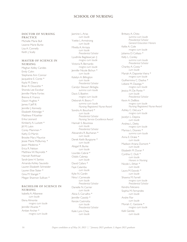## **SCHOOL OF NURSING**

## **DOCTOR OF NURSING PRACTICE**

Michelle Marie Bull Leanne Marie Burke Lisa A. Connelly Keith J. Scally

#### **MASTER OF SCIENCE IN NURSING**

Meghan Kelley Carides Emily Cohn Stephanie Ann Connor Jacqueline E. Conte \* Kayla M. Deery Brian R. Doucette \* Shonda Lee Escobar Jennifer Marie Fortes Brenna K. Franco Dawn Hughes \* James F. Jeff III. Jennifer J. Kennedy Elizabeth Kittredge \* Matthew P. Koehler Erika Leonard Kimberly A. Luckett \* Jill M. Lukin Corey Mammen \* Kathy D. Martin Brooke Mary Maurice Jessie Marie McBurney \* Jason Medeiros \* Erica R. Nelson Matthew W. Reynolds \* Hannah Rothhaar Sarah-Jane H. Santos Amanda Ashley Saucedo Lauren Elizabeth Schneider Lauren Elise Slater \* Gina M. Stangel \* Megan Shannon Sullivan \*

## **BACHELOR OF SCIENCE IN NURSING**

Isabella A. Albanese  *cum laude* Elena Almonte  *magna cum laude* Jennifer Alvarez \* Amber Archer \*  *magna cum laude* Jasmine L. Arias  *cum laude* Yvette L Armstrong  *cum laude* Mirella A. Arriaza  *cum laude Presidential Scholar* Lyudmila Bagdasaryan ‡  *magna cum laude* Victoria R. Bernardo  *magna cum laude* Jennifer Nicole Bichun \*  *cum laude* Katelyn A. Billington  *cum laude Presidential Scholar* Carolyn Stewart Birbiglia  *summa cum laude* Davis S. Boehm  *magna cum laude* Deborah A. Boory \*  *summa cum laude Nursing Registered Nurse Award* Sondra A. Bouchard \*  *cum laude Presidential Scholar Nursing Service Excellence Award* Hannah S. Bouressa  *cum laude Presidential Scholar* Alexandra R. Buchanan \*  *cum laude* Derek Keith Burgoyne \*  *cum laude* Abigail R. Burke  *cum laude* Lourdes Cabral \* Odalis Cabreja  *cum laude* David Cafaro \* Faye Calamba  *cum laude* Kylie N. Cardin Nina I. Carnevale  *cum laude Presidential Scholar* Danielle N. Carrier  *cum laude* Alicia S. Carvalho \* Jennifer Cassidy \* Kenzie Castriotta  *cum laude Presidential Scholar* Kaile Lynn Chea

Brittany A. Chito  *summa cum laude Presidential Scholar General Education Honors* Kellie A. Cole  *magna cum laude* Julianna D. Collazo \* Kelly L. Conley  *summa cum laude Presidential Scholar* Charley A. Costa \*  *cum laude* Mariah A. Daponte-Vieira \*  *magna cum laude* Guilhermina C. Dasilva \* Lidiane M. Daveiga \*  *magna cum laude* Jessica M. De Ponte \*  *cum laude Presidential Scholar* Kevin A. DeBlois  *magna cum laude Nursing Registered Nurse Award* Ashley C. DeLuca \*  *magna cum laude* Jocelyn L. Depina  *cum laude* Andrea L. Detty  *magna cum laude* Marissa L. Dosreis \*  *summa cum laude* Anna E. Drake \*  *cum laude* Madison Ariana Dumont \*  *cum laude* Elizabeth M. Duran \* Cynthia C. Dutt \*  *cum laude Honors in Nursing* Nicole L. Ethier \*  *cum laude* Laura M. Ezovski \*  *cum laude* Shawna M. Farrell  *magna cum laude Presidential Scholar* Kendra Feliciano Sophia M. Fernandes  *cum laude* Andre Flor  *cum laude* Moriah C. Garzone \*  *magna cum laude* Kelli Gentile  *cum laude*

 *cum laude*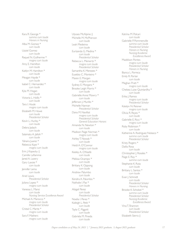Kara R. George \*  *summa cum laude Honors in Nursing* Alba M. Gomez \*  *cum laude* Uzziel Gomez  *cum laude* Raquel N. Guilherme \*  *magna cum laude* Amy E. Hamilton  *cum laude* Kaitlyn M. Hamilton \*  *cum laude* Meagan Hayde \*  *cum laude* Isabel C. Hernandez \*  *cum laude* Kyla M. Hogan  *cum laude* Victoria L. Hollis \*  *cum laude* Tara l. Houle  *magna cum laude* Elizabeth M. Howe  *cum laude Presidential Scholar* Kevin L. Hurley \*  *cum laude* Debra ladach  *cum laude* Salamatu A. Jalloh \*  *cum laude* Yahaira Juarez \* Rebecca Kaye \*  *magna cum laude* Erin J. Kopecky ‡ Camille Laflamme Jared A. Lavery Gary Lavoie \*  *cum laude* Jennifer Lema  *cum laude* Ariel Lewis  *Presidential Scholar* Juliana Lopez \*  *magna cum laude* Vanessa L. Mansi  *cum laude Nursing Service Excellence Award* Michael A. Marocco \*  *magna cum laude Presidential Scholar* Cristal C. Marte \*  *magna cum laude* Sara F. Mathers  *magna cum laude*

Ulysses McAlpine ‡ Michelle M. McPherson  *cum laude* Leah Medeiros  *cum laude* Eurizanda G. Medina \*  *cum laude Presidential Scholar* Rebecca L. Meinertz \*  *magna cum laude Presidential Scholar* Samantha K. Menezes \* Eusebio C. Monteiro \* Maren E. Morgan  *magna cum laude* Sydney E. Morgans \* Brooke Leigh Morris \*  *cum laude* Gabrielle Anne Mowry \*  *cum laude* Jefferson J. Murillo \* Michelle Nannan  *Presidential Scholar* Dana M. Navilliat  *magna cum laude Presidential Scholar General Education Honors* Amanda N. Newton \*  *cum laude* Madison Paige Norman \*  *magna cum laude* Ashley T. Nowak \*  *cum laude* Heidi A. O'Connor  *magna cum laude* Keeley A. O'Keefe  *cum laude* Melissa Ocampo \*  *cum laude* Brittany K. Oppong  *cum laude* Andrew Palumbo  *cum laude* Kendra A. Palumbo \* Nathalie I. Paz \*  *cum laude* Abigail Perez  *cum laude Presidential Scholar* Noelia I. Perez \* Kaileigh L. Petit \*  *cum laude* Tayla C. Piggott  *cum laude* Gabriela M. Pineda  *cum laude*

Katrina M. Polcari  *cum laude* Gabrielle P. Pommenville  *summa cum laude Presidential Scholar Honors in Nursing Nursing Academic Excellence Award* Maddison Pontes  *magna cum laude Presidential Scholar Honors in Nursing* Bianca L. Porreca Emily R. Porter  *cum laude* Meghan Pratt \*  *magna cum laude* Chelsea Luise Quintanilha \*  *cum laude* Erika | Ramos  *magna cum laude Presidential Scholar* Katelyn N. Reisner  *magna cum laude* Olivia R. Reyes \*  *cum laude* Gabrielle E. Ricci \*  *magna cum laude* Ruby Robinson \*  *cum laude*  Katherine A. Rodriguez Nolasco \*  *summa cum laude Presidential Scholar* Kristy Rogers \* Dalila Rosa  *cum laude* Christopher J. Rosales \* Paige E. Roy \*  *summa cum laude* Stephanie K. Ruta  *cum laude* Brittany L. Santos \*  *cum laude* Evan J. Schmidt  *cum laude Presidential Scholar Honors in Nursing* Brooke K. Schobel \*  *summa cum laude Presidential Scholar Nursing Academic Excellence Award* Vina T. Shannon  *cum laude Presidential Scholar* Elizabeth Sierra ‡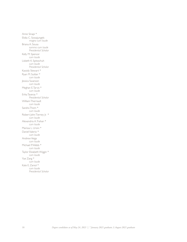Anne Sinapi \* Elidia C. Sossajungels  *magna cum laude* Briana A. Sousa  *summa cum laude Presidential Scholar* Kelly M. Spencer  *cum laude* Lisbeth K. Spitzschuh  *cum laude Presidential Scholar* Kassidy Stewart \* Ryan M. Suitter \*  *cum laude* Jessica Swanson  *cum laude* Meghan E. Tarvis \*  *cum laude* Erika Taveras \*  *Presidential Scholar* William Therriault  *cum laude* Sandra Thom \*  *cum laude* Robert John Tierney Jr. \*  *cum laude* Alexandria A. Trahan \*  *cum laude* Marissa L. Ursini \* Daniel Valerio \*  *cum laude* Andrew Veiga  *cum laude* Michael P. Webb \*  *cum laude* Taylor Elizabeth Wiggin \*  *cum laude* Yue Zang \*  *cum laude* Kate E. Zaniol \*  *cum laude Presidential Scholar*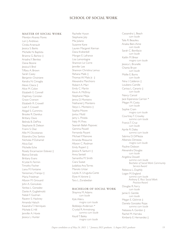# **SCHOOL OF SOCIAL WORK**

#### **MASTER OF SOCIAL WORK**

Merelyn Alvarez Flores Lori *J.* Andrews Cindia Arsenault Jessica S. Banks Michelle N. Baptista Brianna G. Barlow ‡ Ariadna Y. Benitez Danai Boone Jessica V. Brol Tiffany A. Brown Sarah Casey Benjamin Choiniere Kendra N. Cimaglia Alexis Clasca ‡ Alice M. Colon Elizabeth E. Connell Daphney Coriolan Grace Cranson Elizabeth R. Crowell Leah F. Crowell Abigail S. Cummins Brooke R. Darelius Brittany Davis Belinda B. DePina Stephanie B. Deleon Franni S. Diaz Allie M. Dicostanzo Elizandra Dos Santos Nicholas P. Duhamel Alicia Ead Michelle Eche Rosely Encarnacion Estevez ‡ Bianca Estrada Brittany Evans Krystal A. Fermin Timothy Fischer Liana M. Fontaine Yanissmary Franqui ‡ Maria Friedman Allyson M. Girouard John A. Goncalves Yanitza L. Gonzalez Dante A. Guglielmotti Natali F. Guzman Ravenn S. Hackney Amanda Haluch Kasandra T. Henriques Michele E. Hill Jennifer A. Hoxie Jessica L. Hunter

Rachelle Hyson Stephanie Joly Mia Juliano Suzanne Kane Lauren Margaret Kiernan Dana Krahenbill Morgan E. Lafrance Lisa Lamontagne Shannon Le Corre Jennifer Lee Shannon Christina Lemus Rehana Malik ‡ Thomas W. Malo Jr. ‡ Alexandra Marchioro Robert A. Marr Emily C. Martin Kevin A. McElroy Stephanie Mejia Jenna D. Monteiro Nathaniel J. Monteiro Steyci L. Monteiro ‡ Sophia Moore Jonluc Mottl Jamy L. Pineda Nely M. Pires Seaniah Ballah Popovec Gemma Powell Fernanda Poyant Michael P. Rainone Amanda Rheaume Allyson C. Rodman Emily Rupert ‡ Jessica R. Santurri ‡ Anna Sentell Samantha M. Smith Ciara Sweat Judalitza Ana Torres Manolo Urizar Leyda X. Urugutia-Cante Elyse A. Varone ‡ Tara L. Zorabedian

#### **BACHELOR OF SOCIAL WORK**

Shaynna M. Adams  *cum laude* Kyle Aileru  *magna cum laude* Bobbiejo Anderson \* Crystal R. Armstrong  *summa cum laude* Keydi T. Bailey  *magna cum laude*

Cassandra L. Beach  *cum laude* Taila R. Beaulieu Anaika Bien-Aime  *cum laude* Sarah C. Bonifacio  *cum laude* Kaitlin M. Brear  *magna cum laude* Jessica L. Brunelle Chanta Bryan  *cum laude* Mollie E. Burns  *cum laude* Nina I. Calderon ‡ Louikens Camille Carissa L. Canario ‡  *cum laude* Nancy Cancel Jace Esperanza Carrion \* Megan M. Costa  *cum laude* Sophie Cram  *magna cum laude* Courtney T. Crowley  *summa cum laude* Francis T. Cruz  *cum laude* Aprile R. Daley  *summa cum laude* Sabrina D. DiMezza Albenzio Dimezza  *magna cum laude* Pauline Dobson Alexandra Douglas  *cum laude* Angelina Dowell  *summa cum laude Bachelor of Social Work Community Service Award* Rebecca L. Duphily Logan M. England  *summa cum laude Anthony E. Ricci Social Work Practice Award* Douglas R. Ferry  *cum laude* Jamie E. Gentile  *cum laude* Megan E. Gilchrist ‡ Daniela Gonzalez Rojas  *summa cum laude* Natassia A. Gordon ‡ Rachel M. Harraka Kimberly E. Hernandez ‡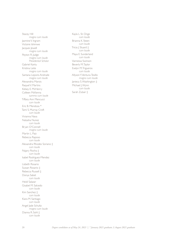Stacey Hill  *magna cum laude* Jasmine V. Ingram Victoire Ishimwe Jacques Jewell  *magna cum laude* Peyton R. Judge  *magna cum laude Presidential Scholar* Gabriel Kantu Kristina Leite  *magna cum laude* Santana Lepore-Andrade  *magna cum laude* Alexandria Marois Raquel V. Martins Kelsey E. McHenry Colleen McKenna  *summa cum laude* Tiffany Ann Mencucci  *cum laude* Eric B. Mendoza \* Tami S. Murray Croft  *cum laude* Vivianna Nava Natasha Nunez  *cum laude* Bryan O'Connell  *magna cum laude* Martin L. Paiz Rebecca Raposo  *cum laude* Alexandra Rhodes Soriano ‡  *cum laude* Najary Rocha ‡  *cum laude* Isabel Rodriguez-Mendez  *cum laude* Lisbeth Rosario Sussan Rosario ‡ Rebecca Russell ‡ Donya Sabet  *cum laude* Heidi Salazar Gisabel M. Salcedo  *cum laude* Kim Sanchez ‡  *cum laude* Kiara M. Santiago  *cum laude* Angel Jade Schultz  *magna cum laude* Dianna R. Sohl ‡  *cum laude*

Kayla L. St. Onge  *cum laude* Brianna K. Steen  *cum laude* Tricia J. Stuard ‡  *cum laude* Maya E. Sunderland  *cum laude* Vannessa Swinson Beverly M. Taylor Evelyn M. Trigueros  *cum laude* Allyson Y. Ventura-Tesillo  *magna cum laude* Janieca S. Washington ‡ Michael J. Wynn  *cum laude* Sarah Zubair ‡